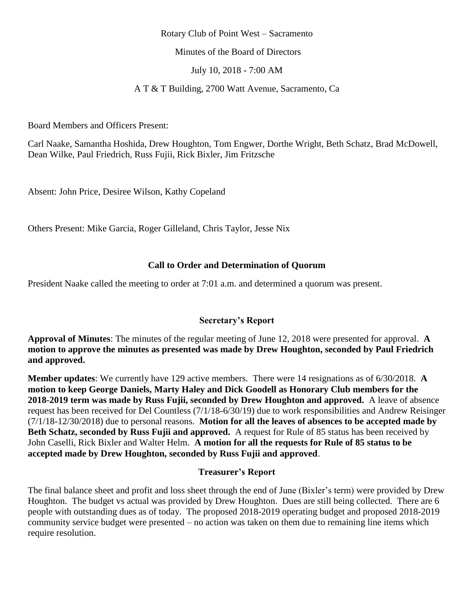### Rotary Club of Point West – Sacramento

Minutes of the Board of Directors

July 10, 2018 - 7:00 AM

A T & T Building, 2700 Watt Avenue, Sacramento, Ca

Board Members and Officers Present:

Carl Naake, Samantha Hoshida, Drew Houghton, Tom Engwer, Dorthe Wright, Beth Schatz, Brad McDowell, Dean Wilke, Paul Friedrich, Russ Fujii, Rick Bixler, Jim Fritzsche

Absent: John Price, Desiree Wilson, Kathy Copeland

Others Present: Mike Garcia, Roger Gilleland, Chris Taylor, Jesse Nix

## **Call to Order and Determination of Quorum**

President Naake called the meeting to order at 7:01 a.m. and determined a quorum was present.

## **Secretary's Report**

**Approval of Minutes**: The minutes of the regular meeting of June 12, 2018 were presented for approval. **A motion to approve the minutes as presented was made by Drew Houghton, seconded by Paul Friedrich and approved.**

**Member updates**: We currently have 129 active members. There were 14 resignations as of 6/30/2018. **A motion to keep George Daniels, Marty Haley and Dick Goodell as Honorary Club members for the 2018-2019 term was made by Russ Fujii, seconded by Drew Houghton and approved.** A leave of absence request has been received for Del Countless (7/1/18-6/30/19) due to work responsibilities and Andrew Reisinger (7/1/18-12/30/2018) due to personal reasons. **Motion for all the leaves of absences to be accepted made by Beth Schatz, seconded by Russ Fujii and approved.** A request for Rule of 85 status has been received by John Caselli, Rick Bixler and Walter Helm. **A motion for all the requests for Rule of 85 status to be accepted made by Drew Houghton, seconded by Russ Fujii and approved**.

## **Treasurer's Report**

The final balance sheet and profit and loss sheet through the end of June (Bixler's term) were provided by Drew Houghton. The budget vs actual was provided by Drew Houghton. Dues are still being collected. There are 6 people with outstanding dues as of today. The proposed 2018-2019 operating budget and proposed 2018-2019 community service budget were presented – no action was taken on them due to remaining line items which require resolution.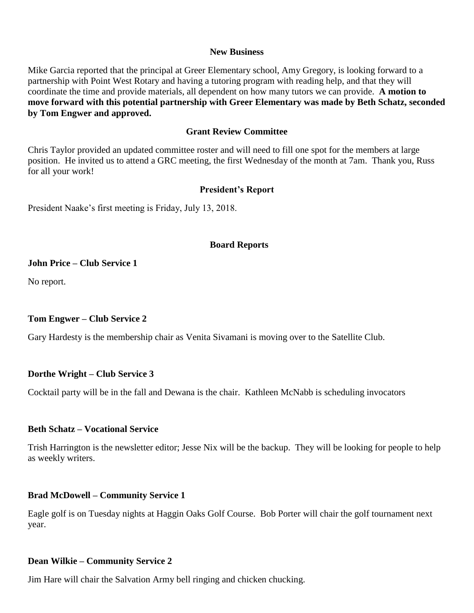#### **New Business**

Mike Garcia reported that the principal at Greer Elementary school, Amy Gregory, is looking forward to a partnership with Point West Rotary and having a tutoring program with reading help, and that they will coordinate the time and provide materials, all dependent on how many tutors we can provide. **A motion to move forward with this potential partnership with Greer Elementary was made by Beth Schatz, seconded by Tom Engwer and approved.** 

### **Grant Review Committee**

Chris Taylor provided an updated committee roster and will need to fill one spot for the members at large position. He invited us to attend a GRC meeting, the first Wednesday of the month at 7am. Thank you, Russ for all your work!

## **President's Report**

President Naake's first meeting is Friday, July 13, 2018.

### **Board Reports**

#### **John Price – Club Service 1**

No report.

## **Tom Engwer – Club Service 2**

Gary Hardesty is the membership chair as Venita Sivamani is moving over to the Satellite Club.

#### **Dorthe Wright – Club Service 3**

Cocktail party will be in the fall and Dewana is the chair. Kathleen McNabb is scheduling invocators

#### **Beth Schatz – Vocational Service**

Trish Harrington is the newsletter editor; Jesse Nix will be the backup. They will be looking for people to help as weekly writers.

#### **Brad McDowell – Community Service 1**

Eagle golf is on Tuesday nights at Haggin Oaks Golf Course. Bob Porter will chair the golf tournament next year.

## **Dean Wilkie – Community Service 2**

Jim Hare will chair the Salvation Army bell ringing and chicken chucking.